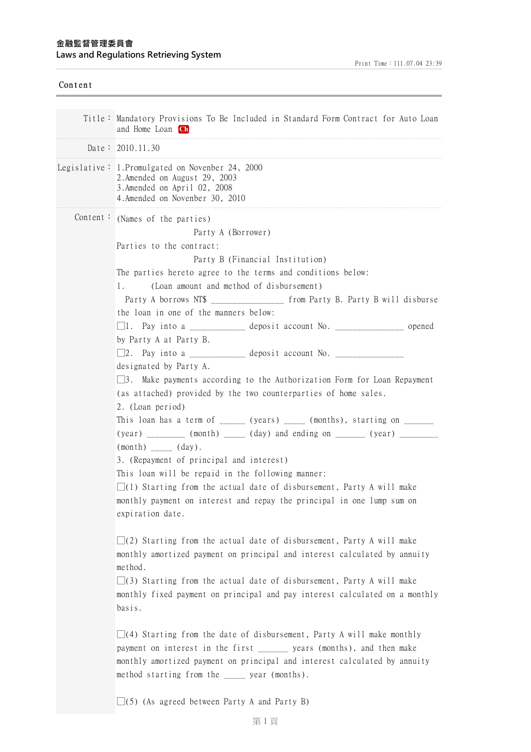| Content |                                                                                                                                                                                                                                                                                                                                                                                                                                                                                                                                                                                                                                                                                                                                                                                                                                                                                                                                                                                                                                                                                                                                                                                                                                                                                                                                                                                                                                                                                                                                                                                                                                                                                                                                                                                                     |
|---------|-----------------------------------------------------------------------------------------------------------------------------------------------------------------------------------------------------------------------------------------------------------------------------------------------------------------------------------------------------------------------------------------------------------------------------------------------------------------------------------------------------------------------------------------------------------------------------------------------------------------------------------------------------------------------------------------------------------------------------------------------------------------------------------------------------------------------------------------------------------------------------------------------------------------------------------------------------------------------------------------------------------------------------------------------------------------------------------------------------------------------------------------------------------------------------------------------------------------------------------------------------------------------------------------------------------------------------------------------------------------------------------------------------------------------------------------------------------------------------------------------------------------------------------------------------------------------------------------------------------------------------------------------------------------------------------------------------------------------------------------------------------------------------------------------------|
|         | Title: Mandatory Provisions To Be Included in Standard Form Contract for Auto Loan<br>and Home Loan Ch                                                                                                                                                                                                                                                                                                                                                                                                                                                                                                                                                                                                                                                                                                                                                                                                                                                                                                                                                                                                                                                                                                                                                                                                                                                                                                                                                                                                                                                                                                                                                                                                                                                                                              |
|         | Date: $2010.11.30$                                                                                                                                                                                                                                                                                                                                                                                                                                                                                                                                                                                                                                                                                                                                                                                                                                                                                                                                                                                                                                                                                                                                                                                                                                                                                                                                                                                                                                                                                                                                                                                                                                                                                                                                                                                  |
|         | Legislative: 1. Promulgated on Novenber 24, 2000<br>2. Amended on August 29, 2003<br>3. Amended on April 02, 2008<br>4. Amended on Novenber 30, 2010                                                                                                                                                                                                                                                                                                                                                                                                                                                                                                                                                                                                                                                                                                                                                                                                                                                                                                                                                                                                                                                                                                                                                                                                                                                                                                                                                                                                                                                                                                                                                                                                                                                |
|         | Content: (Names of the parties)<br>Party A (Borrower)<br>Parties to the contract:<br>Party B (Financial Institution)<br>The parties hereto agree to the terms and conditions below:<br>(Loan amount and method of disbursement)<br>1.<br>Party A borrows NT\$ ___________________ from Party B. Party B will disburse<br>the loan in one of the manners below:<br>$\Box$ 1. Pay into a ______________ deposit account No. _________________ opened<br>by Party A at Party B.<br>designated by Party A.<br>$\Box$ 3. Make payments according to the Authorization Form for Loan Repayment<br>(as attached) provided by the two counterparties of home sales.<br>2. (Loan period)<br>This loan has a term of _______ (years) ______ (months), starting on ____________<br>(year) _________ (month) _____ (day) and ending on ______ (year) __________<br>$(month)$ $(day).$<br>3. (Repayment of principal and interest)<br>This loan will be repaid in the following manner:<br>$\square$ (1) Starting from the actual date of disbursement, Party A will make<br>monthly payment on interest and repay the principal in one lump sum on<br>expiration date.<br>$\Box(2)$ Starting from the actual date of disbursement, Party A will make<br>monthly amortized payment on principal and interest calculated by annuity<br>method.<br>$\Box$ (3) Starting from the actual date of disbursement, Party A will make<br>monthly fixed payment on principal and pay interest calculated on a monthly<br>basis.<br>$\Box$ (4) Starting from the date of disbursement, Party A will make monthly<br>payment on interest in the first __________ years (months), and then make<br>monthly amortized payment on principal and interest calculated by annuity<br>method starting from the _____ year (months). |
|         | $\Box(5)$ (As agreed between Party A and Party B)                                                                                                                                                                                                                                                                                                                                                                                                                                                                                                                                                                                                                                                                                                                                                                                                                                                                                                                                                                                                                                                                                                                                                                                                                                                                                                                                                                                                                                                                                                                                                                                                                                                                                                                                                   |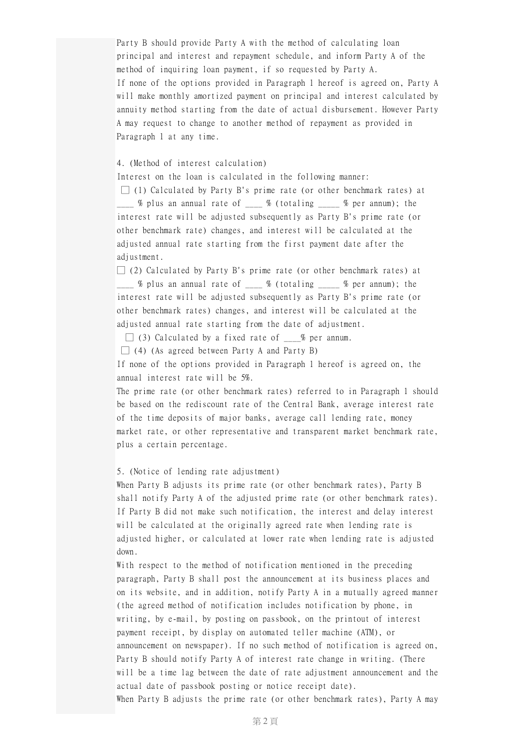Party B should provide Party A with the method of calculating loan principal and interest and repayment schedule, and inform Party A of the method of inquiring loan payment, if so requested by Party A. If none of the options provided in Paragraph 1 hereof is agreed on, Party A will make monthly amortized payment on principal and interest calculated by annuity method starting from the date of actual disbursement. However Party A may request to change to another method of repayment as provided in Paragraph 1 at any time.

## 4. (Method of interest calculation)

Interest on the loan is calculated in the following manner:

 $\Box$  (1) Calculated by Party B's prime rate (or other benchmark rates) at  $\frac{1}{2}$  % plus an annual rate of  $\frac{1}{2}$  % (totaling  $\frac{1}{2}$  % per annum); the interest rate will be adjusted subsequently as Party B's prime rate (or other benchmark rate) changes, and interest will be calculated at the adjusted annual rate starting from the first payment date after the adjustment.

 $\Box$  (2) Calculated by Party B's prime rate (or other benchmark rates) at  $\frac{1}{\sqrt{2}}$  % plus an annual rate of  $\frac{1}{\sqrt{2}}$  % (totaling  $\frac{1}{\sqrt{2}}$  % per annum); the interest rate will be adjusted subsequently as Party B's prime rate (or other benchmark rates) changes, and interest will be calculated at the adjusted annual rate starting from the date of adjustment.

 $\Box$  (3) Calculated by a fixed rate of  $\Box$  % per annum.

 $\Box$  (4) (As agreed between Party A and Party B)

If none of the options provided in Paragraph 1 hereof is agreed on, the annual interest rate will be 5%.

The prime rate (or other benchmark rates) referred to in Paragraph 1 should be based on the rediscount rate of the Central Bank, average interest rate of the time deposits of major banks, average call lending rate, money market rate, or other representative and transparent market benchmark rate, plus a certain percentage.

## 5. (Notice of lending rate adjustment)

When Party B adjusts its prime rate (or other benchmark rates), Party B shall notify Party A of the adjusted prime rate (or other benchmark rates). If Party B did not make such notification, the interest and delay interest will be calculated at the originally agreed rate when lending rate is adjusted higher, or calculated at lower rate when lending rate is adjusted down.

With respect to the method of notification mentioned in the preceding paragraph, Party B shall post the announcement at its business places and on its website, and in addition, notify Party A in a mutually agreed manner (the agreed method of notification includes notification by phone, in writing, by e-mail, by posting on passbook, on the printout of interest payment receipt, by display on automated teller machine (ATM), or announcement on newspaper). If no such method of notification is agreed on, Party B should notify Party A of interest rate change in writing. (There will be a time lag between the date of rate adjustment announcement and the actual date of passbook posting or notice receipt date). When Party B adjusts the prime rate (or other benchmark rates), Party A may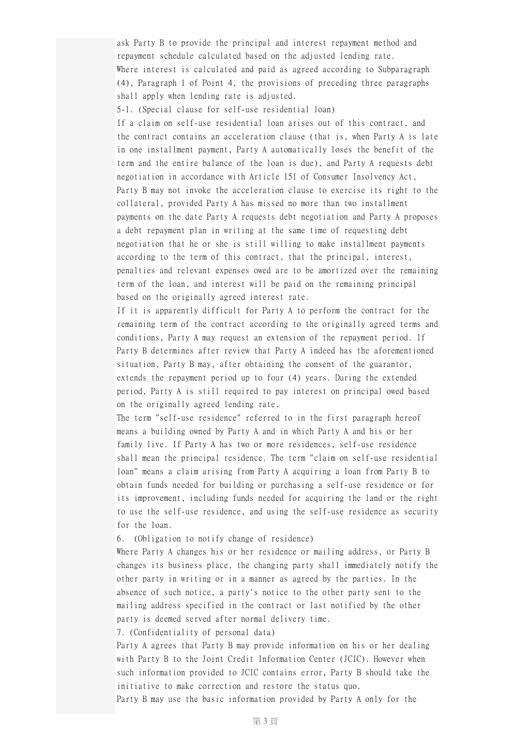ask Party B to provide the principal and interest repayment method and repayment schedule calculated based on the adjusted lending rate. Where interest is calculated and paid as agreed according to Subparagraph (4), Paragraph 1 of Point 4, the provisions of preceding three paragraphs shall apply when lending rate is adjusted.

5-1. (Special clause for self-use residential loan)

If a claim on self-use residential loan arises out of this contract, and the contract contains an acceleration clause (that is, when Party A is late in one installment payment, Party A automatically loses the benefit of the term and the entire balance of the loan is due), and Party A requests debt negotiation in accordance with Article 151 of Consumer Insolvency Act, Party B may not invoke the acceleration clause to exercise its right to the collateral, provided Party A has missed no more than two installment payments on the date Party A requests debt negotiation and Party A proposes a debt repayment plan in writing at the same time of requesting debt negotiation that he or she is still willing to make installment payments according to the term of this contract, that the principal, interest, penalties and relevant expenses owed are to be amortized over the remaining term of the loan, and interest will be paid on the remaining principal based on the originally agreed interest rate.

If it is apparently difficult for Party A to perform the contract for the remaining term of the contract according to the originally agreed terms and conditions, Party A may request an extension of the repayment period. If Party B determines after review that Party A indeed has the aforementioned situation, Party B may, after obtaining the consent of the guarantor, extends the repayment period up to four (4) years. During the extended period, Party A is still required to pay interest on principal owed based on the originally agreed lending rate.

The term "self-use residence" referred to in the first paragraph hereof means a building owned by Party A and in which Party A and his or her family live. If Party A has two or more residences, self-use residence shall mean the principal residence. The term "claim on self-use residential loan" means a claim arising from Party A acquiring a loan from Party B to obtain funds needed for building or purchasing a self-use residence or for its improvement, including funds needed for acquiring the land or the right to use the self-use residence, and using the self-use residence as security for the loan.

6. (Obligation to notify change of residence)

Where Party A changes his or her residence or mailing address, or Party B changes its business place, the changing party shall immediately notify the other party in writing or in a manner as agreed by the parties. In the absence of such notice, a party's notice to the other party sent to the mailing address specified in the contract or last notified by the other party is deemed served after normal delivery time.

7. (Confidentiality of personal data)

Party A agrees that Party B may provide information on his or her dealing with Party B to the Joint Credit Information Center (JCIC). However when such information provided to JCIC contains error, Party B should take the initiative to make correction and restore the status quo.

Party B may use the basic information provided by Party A only for the